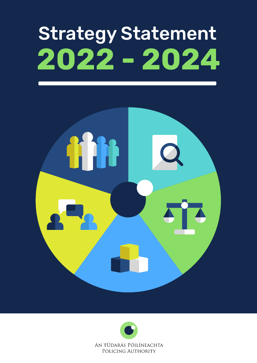# Strategy Statement 2022 - 2024



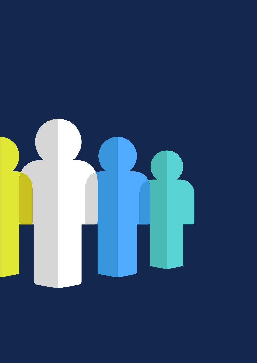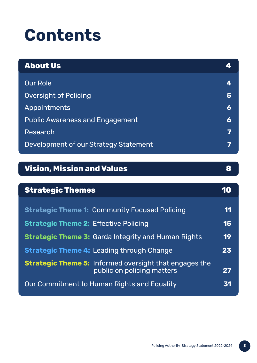# **Contents**

| <b>About Us</b>                        |                  |
|----------------------------------------|------------------|
| <b>Our Role</b>                        | $\blacktriangle$ |
| <b>Oversight of Policing</b>           | 5                |
| <b>Appointments</b>                    | 6                |
| <b>Public Awareness and Engagement</b> | 6                |
| <b>Research</b>                        |                  |
| Development of our Strategy Statement  |                  |

### **Vision, Mission and Values 8**

| <b>Strategic Themes</b>                                                                     |    |
|---------------------------------------------------------------------------------------------|----|
|                                                                                             |    |
| <b>Strategic Theme 1: Community Focused Policing</b>                                        | 11 |
| <b>Strategic Theme 2: Effective Policing</b>                                                | 15 |
| <b>Strategic Theme 3: Garda Integrity and Human Rights</b>                                  | 19 |
| <b>Strategic Theme 4: Leading through Change</b>                                            | 23 |
| <b>Strategic Theme 5:</b> Informed oversight that engages the<br>public on policing matters | 27 |
| Our Commitment to Human Rights and Equality                                                 |    |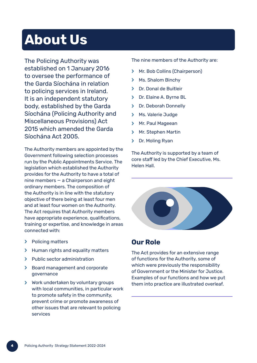## **About Us**

The Policing Authority was established on 1 January 2016 to oversee the performance of the Garda Síochána in relation to policing services in Ireland. It is an independent statutory body, established by the Garda Síochána (Policing Authority and Miscellaneous Provisions) Act 2015 which amended the Garda Síochána Act 2005.

The Authority members are appointed by the Government following selection processes run by the Public Appointments Service. The legislation which established the Authority provides for the Authority to have a total of nine members — a Chairperson and eight ordinary members. The composition of the Authority is in line with the statutory objective of there being at least four men and at least four women on the Authority. The Act requires that Authority members have appropriate experience, qualifications, training or expertise, and knowledge in areas connected with:

- **›** Policing matters
- **›** Human rights and equality matters
- **›** Public sector administration
- **›** Board management and corporate governance
- **›** Work undertaken by voluntary groups with local communities, in particular work to promote safety in the community, prevent crime or promote awareness of other issues that are relevant to policing services

The nine members of the Authority are:

- **›** Mr. Bob Collins (Chairperson)
- **›** Ms. Shalom Binchy
- **›** Dr. Donal de Buitleir
- **›** Dr. Elaine A. Byrne BL
- **›** Dr. Deborah Donnelly
- **›** Ms. Valerie Judge
- **›** Mr. Paul Mageean
- **›** Mr. Stephen Martin
- **›** Dr. Moling Ryan

The Authority is supported by a team of core staff led by the Chief Executive, Ms. Helen Hall.



#### **Our Role**

The Act provides for an extensive range of functions for the Authority, some of which were previously the responsibility of Government or the Minister for Justice. Examples of our functions and how we put them into practice are illustrated overleaf.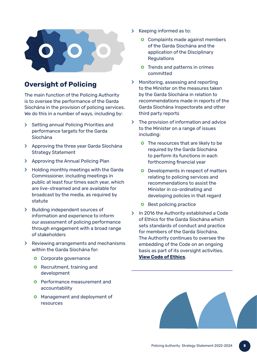

#### **Oversight of Policing**

The main function of the Policing Authority is to oversee the performance of the Garda Síochána in the provision of policing services. We do this in a number of ways, including by:

- **›** Setting annual Policing Priorities and performance targets for the Garda Síochána
- **›** Approving the three year Garda Síochána Strategy Statement
- **›** Approving the Annual Policing Plan
- **›** Holding monthly meetings with the Garda Commissioner, including meetings in public at least four times each year, which are live-streamed and are available for broadcast by the media, as required by statute
- **›** Building independent sources of information and experience to inform our assessment of policing performance through engagement with a broad range of stakeholders
- **›** Reviewing arrangements and mechanisms within the Garda Síochána for:
	- **O** Corporate governance
	- **O** Recruitment, training and development
	- **Q** Performance measurement and accountability
	- **O** Management and deployment of resources
- **›** Keeping informed as to:
	- **O** Complaints made against members of the Garda Síochána and the application of the Disciplinary Regulations
	- **O** Trends and patterns in crimes committed
- **›** Monitoring, assessing and reporting to the Minister on the measures taken by the Garda Síochána in relation to recommendations made in reports of the Garda Síochána Inspectorate and other third party reports
- **›** The provision of information and advice to the Minister on a range of issues including:
	- **•** The resources that are likely to be required by the Garda Síochána to perform its functions in each forthcoming financial year
	- **•** Developments in respect of matters relating to policing services and recommendations to assist the Minister in co-ordinating and developing policies in that regard
	- **o** Best policing practice
- **›** In 2016 the Authority established a Code of Ethics for the Garda Síochána which sets standards of conduct and practice for members of the Garda Síochána. The Authority continues to oversee the embedding of the Code on an ongoing basis as part of its oversight activities. **[View Code of Ethics](https://www.policingauthority.ie/assets/uploads/documents/Code-of-Ethics-for-the-Garda-Sochna_1.pdf)**.

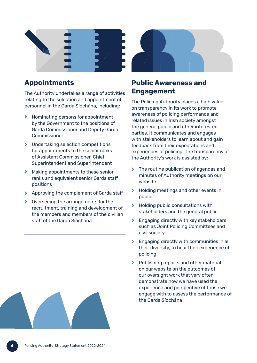

#### **Appointments**

The Authority undertakes a range of activities relating to the selection and appointment of personnel in the Garda Síochána, including:

- **›** Nominating persons for appointment by the Government to the positions of Garda Commissioner and Deputy Garda Commissioner
- **›** Undertaking selection competitions for appointments to the senior ranks of Assistant Commissioner, Chief Superintendent and Superintendent
- **›** Making appointments to these senior ranks and equivalent senior Garda staff positions
- **›** Approving the complement of Garda staff
- **›** Overseeing the arrangements for the recruitment, training and development of the members and members of the civilian staff of the Garda Síochána

#### **Public Awareness and Engagement**

The Policing Authority places a high value on transparency in its work to promote awareness of policing performance and related issues in Irish society amongst the general public and other interested parties. It communicates and engages with stakeholders to learn about and gain feedback from their expectations and experiences of policing. The transparency of the Authority's work is assisted by:

- **›** The routine publication of agendas and minutes of Authority meetings on our website
- **›** Holding meetings and other events in public
- **›** Holding public consultations with stakeholders and the general public
- **›** Engaging directly with key stakeholders such as Joint Policing Committees and civil society
- **›** Engaging directly with communities in all their diversity, to hear their experience of policing
- **›** Publishing reports and other material on our website on the outcomes of our oversight work that very often demonstrate how we have used the experience and perspective of those we engage with to assess the performance of the Garda Síochána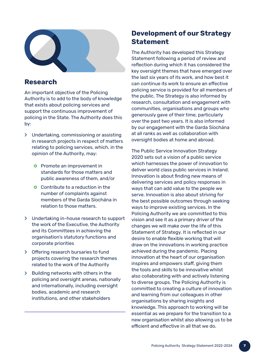

#### **Research**

An important objective of the Policing Authority is to add to the body of knowledge that exists about policing services and support the continuous improvement of policing in the State. The Authority does this by:

- **›** Undertaking, commissioning or assisting in research projects in respect of matters relating to policing services, which, in the opinion of the Authority, may:
	- **O** Promote an improvement in standards for those matters and public awareness of them, and/or
	- **Q** Contribute to a reduction in the number of complaints against members of the Garda Síochána in relation to those matters.
- **›** Undertaking in-house research to support the work of the Executive, the Authority and its Committees in achieving the organisation's statutory functions and corporate priorities
- **›** Offering research bursaries to fund projects covering the research themes related to the work of the Authority
- **›** Building networks with others in the policing and oversight arenas, nationally and internationally, including oversight bodies, academic and research institutions, and other stakeholders

#### **Development of our Strategy Statement**

The Authority has developed this Strategy Statement following a period of review and reflection during which it has considered the key oversight themes that have emerged over the last six years of its work, and how best it can continue its work to ensure an effective policing service is provided for all members of the public. The Strategy is also informed by research, consultation and engagement with communities, organisations and groups who generously gave of their time, particularly over the past two years. It is also informed by our engagement with the Garda Síochána at all ranks as well as collaboration with oversight bodies at home and abroad.

The Public Service Innovation Strategy 2020 sets out a vision of a public service which harnesses the power of innovation to deliver world class public services in Ireland. Innovation is about finding new means of delivering services and policy responses in ways that can add value to the people we serve. Innovation is also about striving for the best possible outcomes through seeking ways to improve existing services. In the Policing Authority we are committed to this vision and see it as a primary driver of the changes we will make over the life of this Statement of Strategy. It is reflected in our desire to enable flexible working that will draw on the innovations in working practice achieved during the pandemic. Placing innovation at the heart of our organisation inspires and empowers staff, giving them the tools and skills to be innovative whilst also collaborating with and actively listening to diverse groups. The Policing Authority is committed to creating a culture of innovation and learning from our colleagues in other organisations by sharing insights and knowledge. This approach to working will be essential as we prepare for the transition to a new organisation whilst also allowing us to be efficient and effective in all that we do.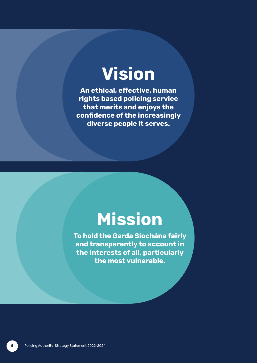# **Vision**

**An ethical, effective, human rights based policing service that merits and enjoys the confidence of the increasingly diverse people it serves.**

# **Mission**

**To hold the Garda Síochána fairly and transparently to account in the interests of all, particularly the most vulnerable.**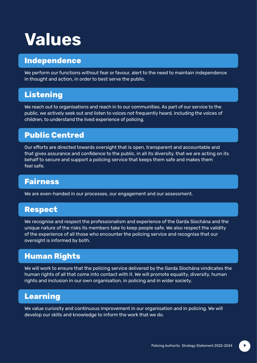# **Values**

### **Independence**

We perform our functions without fear or favour, alert to the need to maintain independence in thought and action, in order to best serve the public.

### **Listening**

We reach out to organisations and reach in to our communities. As part of our service to the public, we actively seek out and listen to voices not frequently heard, including the voices of children, to understand the lived experience of policing.

### **Public Centred**

Our efforts are directed towards oversight that is open, transparent and accountable and that gives assurance and confidence to the public, in all its diversity, that we are acting on its behalf to secure and support a policing service that keeps them safe and makes them feel safe.

#### **Fairness**

We are even-handed in our processes, our engagement and our assessment.

#### **Respect**

We recognise and respect the professionalism and experience of the Garda Síochána and the unique nature of the risks its members take to keep people safe. We also respect the validity of the experience of all those who encounter the policing service and recognise that our oversight is informed by both.

### **Human Rights**

We will work to ensure that the policing service delivered by the Garda Síochána vindicates the human rights of all that come into contact with it. We will promote equality, diversity, human rights and inclusion in our own organisation, in policing and in wider society.

### **Learning**

We value curiosity and continuous improvement in our organisation and in policing. We will develop our skills and knowledge to inform the work that we do.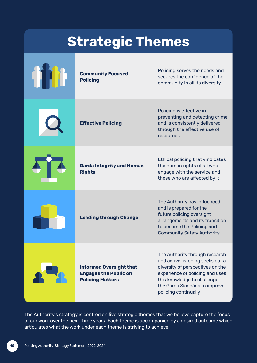# **Strategic Themes**

| <b>Community Focused</b><br><b>Policing</b>                                               | Policing serves the needs and<br>secures the confidence of the<br>community in all its diversity                                                                                                                                  |
|-------------------------------------------------------------------------------------------|-----------------------------------------------------------------------------------------------------------------------------------------------------------------------------------------------------------------------------------|
| <b>Effective Policing</b>                                                                 | Policing is effective in<br>preventing and detecting crime<br>and is consistently delivered<br>through the effective use of<br>resources                                                                                          |
| <b>Garda Integrity and Human</b><br><b>Rights</b>                                         | <b>Ethical policing that vindicates</b><br>the human rights of all who<br>engage with the service and<br>those who are affected by it                                                                                             |
| <b>Leading through Change</b>                                                             | The Authority has influenced<br>and is prepared for the<br>future policing oversight<br>arrangements and its transition<br>to become the Policing and<br><b>Community Safety Authority</b>                                        |
| <b>Informed Oversight that</b><br><b>Engages the Public on</b><br><b>Policing Matters</b> | The Authority through research<br>and active listening seeks out a<br>diversity of perspectives on the<br>experience of policing and uses<br>this knowledge to challenge<br>the Garda Síochána to improve<br>policing continually |

The Authority's strategy is centred on five strategic themes that we believe capture the focus of our work over the next three years. Each theme is accompanied by a desired outcome which articulates what the work under each theme is striving to achieve.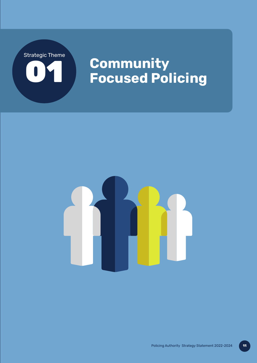# 01 Strategic Theme

## **Community Focused Policing**

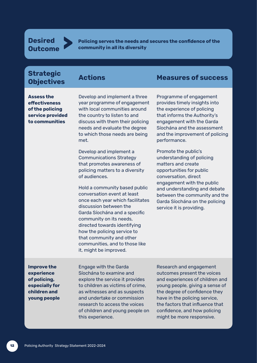#### **Desired Outcome**



**Policing serves the needs and secures the confidence of the community in all its diversity**

## **Strategic**

**Assess the effectiveness of the policing service provided to communities** 

Develop and implement a three year programme of engagement with local communities around the country to listen to and discuss with them their policing needs and evaluate the degree to which those needs are being met.

Develop and implement a Communications Strategy that promotes awareness of policing matters to a diversity of audiences.

Hold a community based public conversation event at least once each year which facilitates discussion between the Garda Síochána and a specific community on its needs, directed towards identifying how the policing service to that community and other communities, and to those like it, might be improved.

### **Objectives Actions Measures of success**

Programme of engagement provides timely insights into the experience of policing that informs the Authority's engagement with the Garda Síochána and the assessment and the improvement of policing performance.

Promote the public's understanding of policing matters and create opportunities for public conversation, direct engagement with the public and understanding and debate between the community and the Garda Síochána on the policing service it is providing.

**Improve the experience of policing, especially for children and young people**

Engage with the Garda Síochána to examine and explore the service it provides to children as victims of crime, as witnesses and as suspects and undertake or commission research to access the voices of children and young people on this experience.

Research and engagement outcomes present the voices and experiences of children and young people, giving a sense of the degree of confidence they have in the policing service, the factors that influence that confidence, and how policing might be more responsive.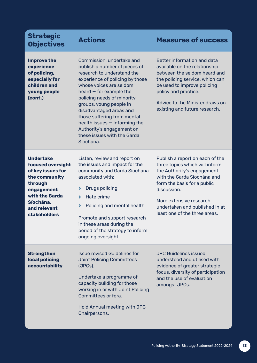| <b>Strategic</b><br><b>Objectives</b>                                                                                                                                      | <b>Actions</b>                                                                                                                                                                                                                                                                                                                                                                                                   | <b>Measures of success</b>                                                                                                                                                                                                                                                 |
|----------------------------------------------------------------------------------------------------------------------------------------------------------------------------|------------------------------------------------------------------------------------------------------------------------------------------------------------------------------------------------------------------------------------------------------------------------------------------------------------------------------------------------------------------------------------------------------------------|----------------------------------------------------------------------------------------------------------------------------------------------------------------------------------------------------------------------------------------------------------------------------|
| <b>Improve the</b><br>experience<br>of policing,<br>especially for<br>children and<br>young people<br>(cont.)                                                              | Commission, undertake and<br>publish a number of pieces of<br>research to understand the<br>experience of policing by those<br>whose voices are seldom<br>heard $-$ for example the<br>policing needs of minority<br>groups, young people in<br>disadvantaged areas and<br>those suffering from mental<br>health issues - informing the<br>Authority's engagement on<br>these issues with the Garda<br>Síochána. | <b>Better information and data</b><br>available on the relationship<br>between the seldom heard and<br>the policing service, which can<br>be used to improve policing<br>policy and practice.<br>Advice to the Minister draws on<br>existing and future research.          |
| <b>Undertake</b><br>focused oversight<br>of key issues for<br>the community<br>through<br>engagement<br>with the Garda<br>Síochána,<br>and relevant<br><b>stakeholders</b> | Listen, review and report on<br>the issues and impact for the<br>community and Garda Síochána<br>associated with:<br><b>Drugs policing</b><br>⋗<br>Hate crime<br>≻<br>⋗<br>Policing and mental health<br>Promote and support research<br>in these areas during the<br>period of the strategy to inform<br>ongoing oversight.                                                                                     | Publish a report on each of the<br>three topics which will inform<br>the Authority's engagement<br>with the Garda Síochána and<br>form the basis for a public<br>discussion.<br>More extensive research<br>undertaken and published in at<br>least one of the three areas. |
| <b>Strengthen</b><br>local policing<br>accountability                                                                                                                      | <b>Issue revised Guidelines for</b><br><b>Joint Policing Committees</b><br>(JPCs).<br>Undertake a programme of<br>capacity building for those<br>working in or with Joint Policing<br>Committees or fora.<br><b>Hold Annual meeting with JPC</b><br>Chairpersons.                                                                                                                                                | <b>JPC Guidelines issued,</b><br>understood and utilised with<br>evidence of greater strategic<br>focus, diversity of participation<br>and the use of evaluation<br>amongst JPCs.                                                                                          |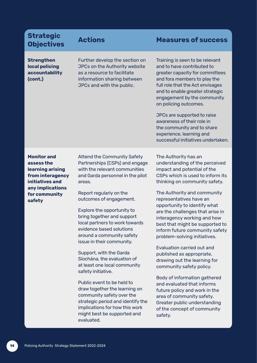| <b>Strategic</b><br><b>Objectives</b>                                                                                                      | <b>Actions</b>                                                                                                                                                                                                                                                                                                                                                                                                                                                                                                                                                                                                                                                                   | <b>Measures of success</b>                                                                                                                                                                                                                                                                                                                                                                                                                                                                                                                                                                                                                                                                                                                            |
|--------------------------------------------------------------------------------------------------------------------------------------------|----------------------------------------------------------------------------------------------------------------------------------------------------------------------------------------------------------------------------------------------------------------------------------------------------------------------------------------------------------------------------------------------------------------------------------------------------------------------------------------------------------------------------------------------------------------------------------------------------------------------------------------------------------------------------------|-------------------------------------------------------------------------------------------------------------------------------------------------------------------------------------------------------------------------------------------------------------------------------------------------------------------------------------------------------------------------------------------------------------------------------------------------------------------------------------------------------------------------------------------------------------------------------------------------------------------------------------------------------------------------------------------------------------------------------------------------------|
| <b>Strengthen</b><br>local policing<br>accountability<br>(cont.)                                                                           | Further develop the section on<br>JPCs on the Authority website<br>as a resource to facilitate<br>information sharing between<br>JPCs and with the public.                                                                                                                                                                                                                                                                                                                                                                                                                                                                                                                       | Training is seen to be relevant<br>and to have contributed to<br>greater capacity for committees<br>and fora members to play the<br>full role that the Act envisages<br>and to enable greater strategic<br>engagement by the community<br>on policing outcomes.<br>JPCs are supported to raise<br>awareness of their role in<br>the community and to share<br>experience, learning and<br>successful initiatives undertaken.                                                                                                                                                                                                                                                                                                                          |
| <b>Monitor and</b><br>assess the<br>learning arising<br>from interagency<br>initiatives and<br>any implications<br>for community<br>safety | <b>Attend the Community Safety</b><br>Partnerships (CSPs) and engage<br>with the relevant communities<br>and Garda personnel in the pilot<br>areas.<br>Report regularly on the<br>outcomes of engagement.<br>Explore the opportunity to<br>bring together and support<br>local partners to work towards<br>evidence based solutions<br>around a community safety<br>issue in their community.<br>Support, with the Garda<br>Síochána, the evaluation of<br>at least one local community<br>safety initiative.<br>Public event to be held to<br>draw together the learning on<br>community safety over the<br>strategic period and identify the<br>implications for how this work | The Authority has an<br>understanding of the perceived<br>impact and potential of the<br>CSPs which is used to inform its<br>thinking on community safety.<br>The Authority and community<br>representatives have an<br>opportunity to identify what<br>are the challenges that arise in<br>interagency working and how<br>best that might be supported to<br>inform future community safety<br>problem-solving initiatives.<br><b>Evaluation carried out and</b><br>published as appropriate,<br>drawing out the learning for<br>community safety policy.<br>Body of information gathered<br>and evaluated that informs<br>future policy and work in the<br>area of community safety.<br>Greater public understanding<br>of the concept of community |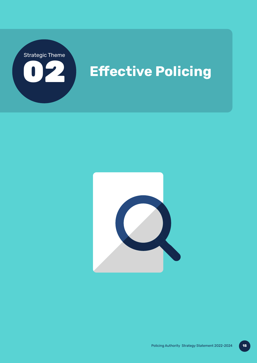

# **Effective Policing**

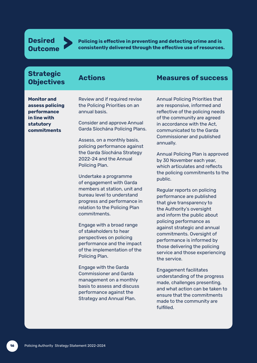**Desired Outcome**



**Policing is effective in preventing and detecting crime and is consistently delivered through the effective use of resources.**

# **Strategic**

**Monitor and assess policing performance in line with statutory commitments** 

Review and if required revise the Policing Priorities on an annual basis.

Consider and approve Annual Garda Síochána Policing Plans.

Assess, on a monthly basis, policing performance against the Garda Síochána Strategy 2022-24 and the Annual Policing Plan.

Undertake a programme of engagement with Garda members at station, unit and bureau level to understand progress and performance in relation to the Policing Plan commitments.

Engage with a broad range of stakeholders to hear perspectives on policing performance and the impact of the implementation of the Policing Plan.

Engage with the Garda Commissioner and Garda management on a monthly basis to assess and discuss performance against the Strategy and Annual Plan.

### **Objectives Actions Measures of success**

Annual Policing Priorities that are responsive, informed and reflective of the policing needs of the community are agreed in accordance with the Act, communicated to the Garda Commissioner and published annually.

Annual Policing Plan is approved by 30 November each year, which articulates and reflects the policing commitments to the public.

Regular reports on policing performance are published that give transparency to the Authority's oversight and inform the public about policing performance as against strategic and annual commitments. Oversight of performance is informed by those delivering the policing service and those experiencing the service.

Engagement facilitates understanding of the progress made, challenges presenting, and what action can be taken to ensure that the commitments made to the community are fulfilled.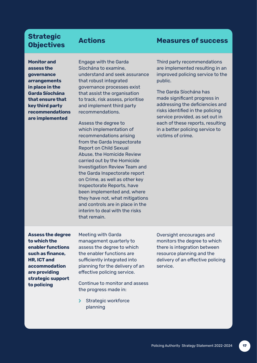# **Strategic**

**Monitor and assess the governance arrangements in place in the Garda Síochána that ensure that key third party recommendations are implemented**

Engage with the Garda Síochána to examine, understand and seek assurance that robust integrated governance processes exist that assist the organisation to track, risk assess, prioritise and implement third party recommendations.

Assess the degree to which implementation of recommendations arising from the Garda Inspectorate Report on Child Sexual Abuse, the Homicide Review carried out by the Homicide Investigation Review Team and the Garda Inspectorate report on Crime, as well as other key Inspectorate Reports, have been implemented and, where they have not, what mitigations and controls are in place in the interim to deal with the risks that remain.

Third party recommendations are implemented resulting in an improved policing service to the public.

The Garda Síochána has made significant progress in addressing the deficiencies and risks identified in the policing service provided, as set out in each of these reports, resulting in a better policing service to victims of crime.

**Assess the degree to which the enabler functions such as finance, HR, ICT and accommodation are providing strategic support to policing**

Meeting with Garda management quarterly to assess the degree to which the enabler functions are sufficiently integrated into planning for the delivery of an effective policing service.

Continue to monitor and assess the progress made in:

**›** Strategic workforce planning

Oversight encourages and monitors the degree to which there is integration between resource planning and the delivery of an effective policing service.

### **Objectives Actions Measures of success**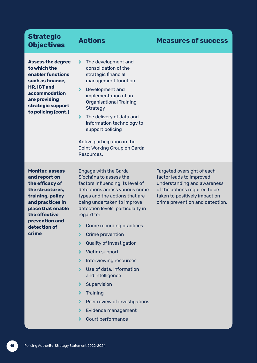| <b>Strategic</b><br><b>Objectives</b>                                                                                                                                                                  | <b>Actions</b>                                                                                                                                                                                                                                                                                                                                                                                                                                                                                       | <b>Measures of success</b>                                                                                                                                                                 |
|--------------------------------------------------------------------------------------------------------------------------------------------------------------------------------------------------------|------------------------------------------------------------------------------------------------------------------------------------------------------------------------------------------------------------------------------------------------------------------------------------------------------------------------------------------------------------------------------------------------------------------------------------------------------------------------------------------------------|--------------------------------------------------------------------------------------------------------------------------------------------------------------------------------------------|
| <b>Assess the degree</b><br>to which the<br>enabler functions<br>such as finance,<br><b>HR, ICT and</b><br>accommodation<br>are providing<br>strategic support<br>to policing (cont.)                  | The development and<br>⋗<br>consolidation of the<br>strategic financial<br>management function<br>Development and<br>≻<br>implementation of an<br><b>Organisational Training</b><br>Strategy<br>The delivery of data and<br>≻<br>information technology to<br>support policing<br>Active participation in the<br>Joint Working Group on Garda<br>Resources.                                                                                                                                          |                                                                                                                                                                                            |
| <b>Monitor, assess</b><br>and report on<br>the efficacy of<br>the structures,<br>training, policy<br>and practices in<br>place that enable<br>the effective<br>prevention and<br>detection of<br>crime | <b>Engage with the Garda</b><br>Síochána to assess the<br>factors influencing its level of<br>detections across various crime<br>types and the actions that are<br>being undertaken to improve<br>detection levels, particularly in<br>regard to:<br>> Crime recording practices<br>Crime prevention<br><b>Quality of investigation</b><br>Victim support<br>⋗<br>Interviewing resources<br>Use of data, information<br>and intelligence<br>Supervision<br>Training<br>Peer review of investigations | Targeted oversight of each<br>factor leads to improved<br>understanding and awareness<br>of the actions required to be<br>taken to positively impact on<br>crime prevention and detection. |

- **›** Evidence management
- **›** Court performance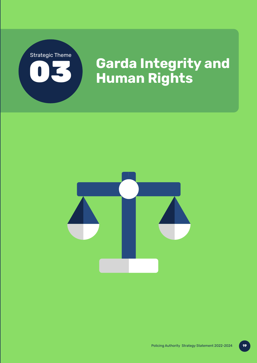

## **Garda Integrity and Human Rights**

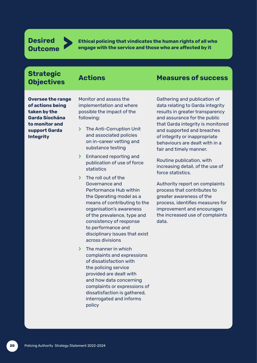**Desired Outcome**



**Ethical policing that vindicates the human rights of all who engage with the service and those who are affected by it**

## **Strategic**

**Oversee the range of actions being taken by the Garda Síochána to monitor and support Garda Integrity**

Monitor and assess the implementation and where possible the impact of the following:

- **›** The Anti-Corruption Unit and associated policies on in-career vetting and substance testing
- **›** Enhanced reporting and publication of use of force statistics
- **›** The roll out of the Governance and Performance Hub within the Operating model as a means of contributing to the organisation's awareness of the prevalence, type and consistency of response to performance and disciplinary issues that exist across divisions
- **›** The manner in which complaints and expressions of dissatisfaction with the policing service provided are dealt with and how data concerning complaints or expressions of dissatisfaction is gathered, interrogated and informs policy

### **Objectives Actions Measures of success**

Gathering and publication of data relating to Garda integrity results in greater transparency and assurance for the public that Garda integrity is monitored and supported and breaches of integrity or inappropriate behaviours are dealt with in a fair and timely manner.

Routine publication, with increasing detail, of the use of force statistics.

Authority report on complaints process that contributes to greater awareness of the process, identifies measures for improvement and encourages the increased use of complaints data.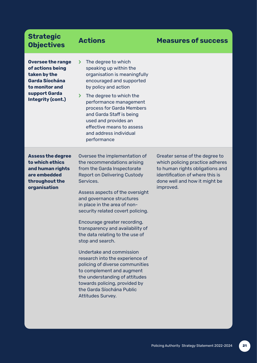| <b>Strategic</b><br><b>Objectives</b>                                                                                                         | <b>Actions</b>                                                                                                                                                                                                                                                                                                                                                                                                                                                                                                                                                                                                                                                             | <b>Measures of success</b>                                                                                                                                                            |
|-----------------------------------------------------------------------------------------------------------------------------------------------|----------------------------------------------------------------------------------------------------------------------------------------------------------------------------------------------------------------------------------------------------------------------------------------------------------------------------------------------------------------------------------------------------------------------------------------------------------------------------------------------------------------------------------------------------------------------------------------------------------------------------------------------------------------------------|---------------------------------------------------------------------------------------------------------------------------------------------------------------------------------------|
| <b>Oversee the range</b><br>of actions being<br>taken by the<br>Garda Síochána<br>to monitor and<br>support Garda<br><b>Integrity (cont.)</b> | The degree to which<br>⋗<br>speaking up within the<br>organisation is meaningfully<br>encouraged and supported<br>by policy and action<br>The degree to which the<br>≻<br>performance management<br>process for Garda Members<br>and Garda Staff is being<br>used and provides an<br>effective means to assess<br>and address individual<br>performance                                                                                                                                                                                                                                                                                                                    |                                                                                                                                                                                       |
| <b>Assess the degree</b><br>to which ethics<br>and human rights<br>are embedded<br>throughout the<br>organisation                             | Oversee the implementation of<br>the recommendations arising<br>from the Garda Inspectorate<br><b>Report on Delivering Custody</b><br>Services.<br>Assess aspects of the oversight<br>and governance structures<br>in place in the area of non-<br>security related covert policing.<br>Encourage greater recording,<br>transparency and availability of<br>the data relating to the use of<br>stop and search.<br>Undertake and commission<br>research into the experience of<br>policing of diverse communities<br>to complement and augment<br>the understanding of attitudes<br>towards policing, provided by<br>the Garda Síochána Public<br><b>Attitudes Survey.</b> | Greater sense of the degree to<br>which policing practice adheres<br>to human rights obligations and<br>identification of where this is<br>done well and how it might be<br>improved. |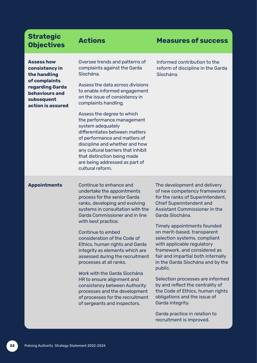#### **Strategic Objectives Actions Measures of success Assess how consistency in the handling of complaints regarding Garda behaviours and subsequent action is assured**  Oversee trends and patterns of complaints against the Garda Síochána. Assess the data across divisions to enable informed engagement on the issue of consistency in complaints handling. Assess the degree to which the performance management system adequately differentiates between matters of performance and matters of discipline and whether and how any cultural barriers that inhibit that distinction being made are being addressed as part of cultural reform. Informed contribution to the reform of discipline in the Garda Síochána. **Appointments** Continue to enhance and undertake the appointments process for the senior Garda ranks, developing and evolving systems in consultation with the Garda Commissioner and in line with best practice. Continue to embed consideration of the Code of Ethics, human rights and Garda integrity as elements which are assessed during the recruitment processes at all ranks. Work with the Garda Síochána HR to ensure alignment and consistency between Authority processes and the development of processes for the recruitment of sergeants and inspectors. The development and delivery of new competency frameworks for the ranks of Superintendent, Chief Superintendent and Assistant Commissioner in the Garda Síochána. Timely appointments founded on merit-based, transparent selection systems, compliant with applicable regulatory framework, and considered as fair and impartial both internally in the Garda Síochána and by the public. Selection processes are informed by and reflect the centrality of the Code of Ethics, human rights obligations and the issue of Garda integrity. Garda practice in relation to recruitment is improved.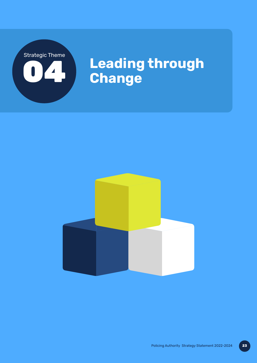

## **Leading through Change**

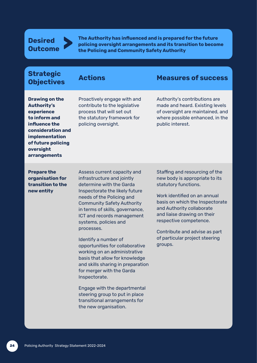#### **Desired Outcome**



**The Authority has influenced and is prepared for the future policing oversight arrangements and its transition to become the Policing and Community Safety Authority**

# **Strategic**

**Drawing on the Authority's experience to inform and influence the consideration and implementation of future policing oversight arrangements**

Proactively engage with and contribute to the legislative process that will set out the statutory framework for policing oversight.

### **Objectives Actions Measures of success**

Authority's contributions are made and heard. Existing levels of oversight are maintained, and where possible enhanced, in the public interest.

#### **Prepare the organisation for transition to the new entity**

Assess current capacity and infrastructure and jointly determine with the Garda Inspectorate the likely future needs of the Policing and Community Safety Authority in terms of skills, governance, ICT and records management systems, policies and processes.

Identify a number of opportunities for collaborative working on an administrative basis that allow for knowledge and skills sharing in preparation for merger with the Garda Inspectorate.

Engage with the departmental steering group to put in place transitional arrangements for the new organisation.

Staffing and resourcing of the new body is appropriate to its statutory functions.

Work identified on an annual basis on which the Inspectorate and Authority collaborate and liaise drawing on their respective competence.

Contribute and advise as part of particular project steering groups.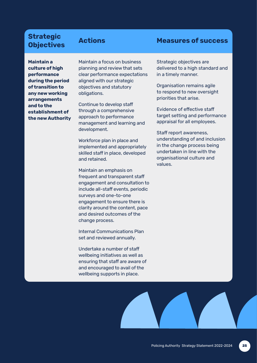## **Strategic**

**Maintain a culture of high performance during the period of transition to any new working arrangements and to the establishment of the new Authority**  Maintain a focus on business planning and review that sets clear performance expectations aligned with our strategic objectives and statutory obligations.

Continue to develop staff through a comprehensive approach to performance management and learning and development.

Workforce plan in place and implemented and appropriately skilled staff in place, developed and retained.

Maintain an emphasis on frequent and transparent staff engagement and consultation to include all-staff events, periodic surveys and one-to-one engagement to ensure there is clarity around the content, pace and desired outcomes of the change process.

Internal Communications Plan set and reviewed annually.

Undertake a number of staff wellbeing initiatives as well as ensuring that staff are aware of and encouraged to avail of the wellbeing supports in place.

### **Objectives Actions Measures of success**

Strategic objectives are delivered to a high standard and in a timely manner.

Organisation remains agile to respond to new oversight priorities that arise.

Evidence of effective staff target setting and performance appraisal for all employees.

Staff report awareness, understanding of and inclusion in the change process being undertaken in line with the organisational culture and values.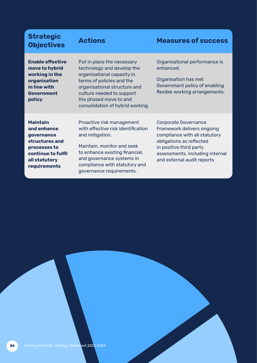| <b>Strategic</b><br><b>Objectives</b>                                                                                                 | <b>Actions</b>                                                                                                                                                                                                                                 | <b>Measures of success</b>                                                                                                                                                                                         |
|---------------------------------------------------------------------------------------------------------------------------------------|------------------------------------------------------------------------------------------------------------------------------------------------------------------------------------------------------------------------------------------------|--------------------------------------------------------------------------------------------------------------------------------------------------------------------------------------------------------------------|
| <b>Enable effective</b><br>move to hybrid<br>working in the<br>organisation<br>in line with<br><b>Government</b><br>policy            | Put in place the necessary<br>technology and develop the<br>organisational capacity in<br>terms of policies and the<br>organisational structure and<br>culture needed to support<br>the phased move to and<br>consolidation of hybrid working. | Organisational performance is<br>enhanced.<br>Organisation has met<br>Government policy of enabling<br>flexible working arrangements.                                                                              |
| <b>Maintain</b><br>and enhance<br>governance<br>structures and<br>processes to<br>continue to fulfil<br>all statutory<br>requirements | Proactive risk management<br>with effective risk identification<br>and mitigation.<br>Maintain, monitor and seek<br>to enhance existing financial,<br>and governance systems in<br>compliance with statutory and<br>governance requirements.   | <b>Corporate Governance</b><br>Framework delivers ongoing<br>compliance with all statutory<br>obligations as reflected<br>in positive third party<br>assessments, including internal<br>and external audit reports |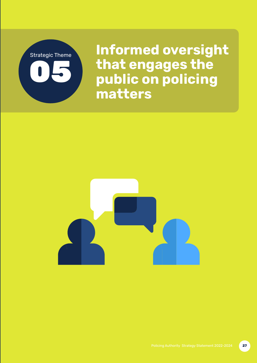

Strategic Theme **Informed oversight that engages the public on policing matters**

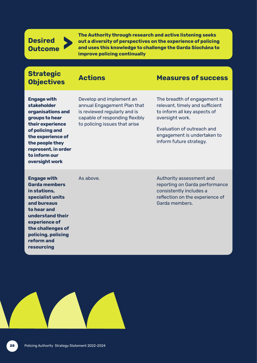#### **Desired Outcome**



**The Authority through research and active listening seeks out a diversity of perspectives on the experience of policing and uses this knowledge to challenge the Garda Síochána to improve policing continually**

# **Strategic**

**Engage with stakeholder organisations and groups to hear their experience of policing and the experience of the people they represent, in order to inform our oversight work** 

Develop and implement an annual Engagement Plan that is reviewed regularly and is capable of responding flexibly to policing issues that arise

### **Objectives Actions Measures of success**

The breadth of engagement is relevant, timely and sufficient to inform all key aspects of oversight work.

Evaluation of outreach and engagement is undertaken to inform future strategy.

**Engage with Garda members in stations, specialist units and bureaus to hear and understand their experience of the challenges of policing, policing reform and resourcing** 

As above. Authority assessment and reporting on Garda performance consistently includes a reflection on the experience of Garda members.

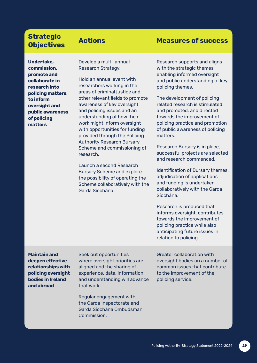# **Strategic**

**Undertake, commission, promote and collaborate in research into policing matters, to inform oversight and public awareness of policing matters**

Develop a multi-annual Research Strategy.

Hold an annual event with researchers working in the areas of criminal justice and other relevant fields to promote awareness of key oversight and policing issues and an understanding of how their work might inform oversight with opportunities for funding provided through the Policing Authority Research Bursary Scheme and commissioning of research.

Launch a second Research Bursary Scheme and explore the possibility of operating the Scheme collaboratively with the Garda Síochána.

**Objectives Actions Measures of success**

Research supports and aligns with the strategic themes enabling informed oversight and public understanding of key policing themes.

The development of policing related research is stimulated and promoted, and directed towards the improvement of policing practice and promotion of public awareness of policing matters.

Research Bursary is in place, successful projects are selected and research commenced.

Identification of Bursary themes, adjudication of applications and funding is undertaken collaboratively with the Garda Síochána.

Research is produced that informs oversight, contributes towards the improvement of policing practice while also anticipating future issues in relation to policing.

**Maintain and deepen effective relationships with policing oversight bodies in Ireland and abroad**

Seek out opportunities where oversight priorities are aligned and the sharing of experience, data, information and understanding will advance that work.

Regular engagement with the Garda Inspectorate and Garda Síochána Ombudsman **Commission** 

Greater collaboration with oversight bodies on a number of common issues that contribute to the improvement of the policing service.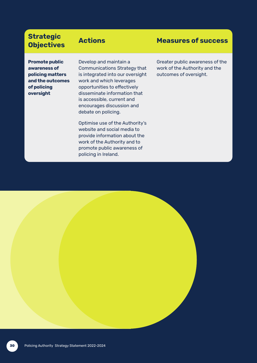# **Strategic**

**Promote public awareness of policing matters and the outcomes of policing oversight**

Develop and maintain a Communications Strategy that is integrated into our oversight work and which leverages opportunities to effectively disseminate information that is accessible, current and encourages discussion and debate on policing.

Optimise use of the Authority's website and social media to provide information about the work of the Authority and to promote public awareness of policing in Ireland.

### **Objectives Actions Measures of success**

Greater public awareness of the work of the Authority and the outcomes of oversight.